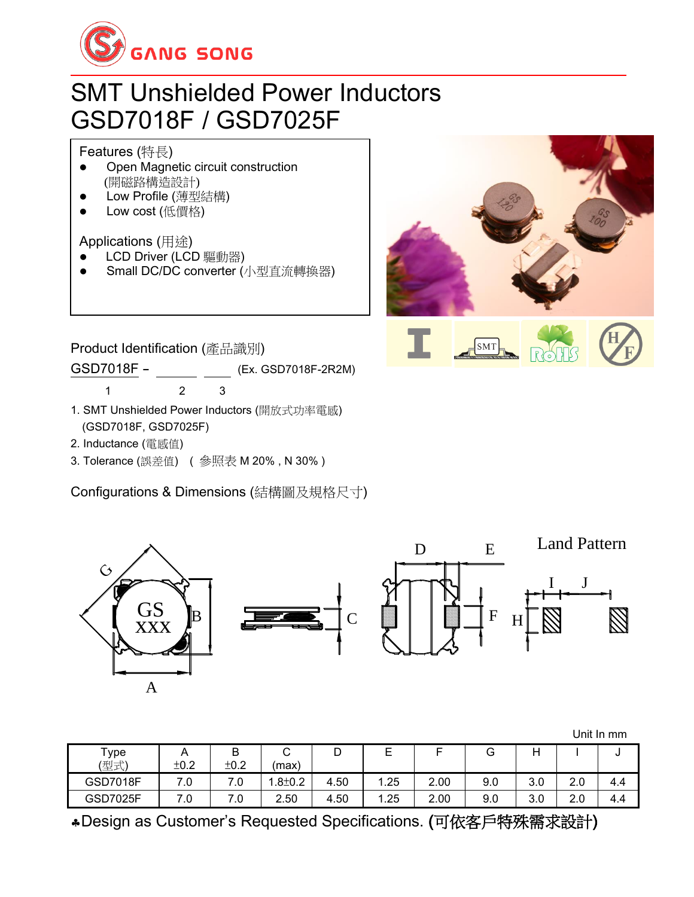

## SMT Unshielded Power Inductors GSD7018F / GSD7025F

#### Features (特長)

- ⚫ Open Magnetic circuit construction (開磁路構造設計)
- ⚫ Low Profile (薄型結構)
- Low cost (低價格)

### Applications (用途)

- LCD Driver (LCD 驅動器)
- ⚫ Small DC/DC converter (小型直流轉換器)



Product Identification (產品識別)

GSD7018F - (Ex. GSD7018F-2R2M)

1 2 3

- 1. SMT Unshielded Power Inductors (開放式功率電感) (GSD7018F, GSD7025F)
- 2. Inductance (電感值)
- 3. Tolerance (誤差值) ( 參照表 M 20% , N 30% )

Configurations & Dimensions (結構圖及規格尺寸)



|                   |      |      |              |      |      |      |     |     |     | Unit In mm |
|-------------------|------|------|--------------|------|------|------|-----|-----|-----|------------|
| Type <sub>T</sub> | A    | B    | ⌒<br>ັ       | D    | E    |      | G   | Н   |     | u          |
| (型式)              | ±0.2 | ±0.2 | (max)        |      |      |      |     |     |     |            |
| <b>GSD7018F</b>   | 7.0  | 7.0  | $.8 \pm 0.2$ | 4.50 | 1.25 | 2.00 | 9.0 | 3.0 | 2.0 | 4.4        |
| <b>GSD7025F</b>   | 7.0  | 7.0  | 2.50         | 4.50 | 1.25 | 2.00 | 9.0 | 3.0 | 2.0 | 4.4        |

Design as Customer's Requested Specifications. (可依客戶特殊需求設計)